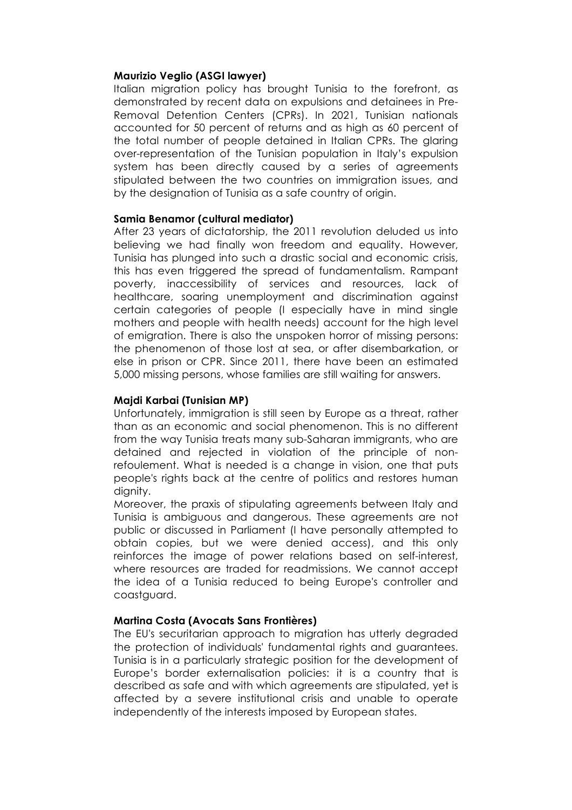# **Maurizio Veglio (ASGI lawyer)**

Italian migration policy has brought Tunisia to the forefront, as demonstrated by recent data on expulsions and detainees in Pre-Removal Detention Centers (CPRs). In 2021, Tunisian nationals accounted for 50 percent of returns and as high as 60 percent of the total number of people detained in Italian CPRs. The glaring over-representation of the Tunisian population in Italy's expulsion system has been directly caused by a series of agreements stipulated between the two countries on immigration issues, and by the designation of Tunisia as a safe country of origin.

# **Samia Benamor (cultural mediator)**

After 23 years of dictatorship, the 2011 revolution deluded us into believing we had finally won freedom and equality. However, Tunisia has plunged into such a drastic social and economic crisis, this has even triggered the spread of fundamentalism. Rampant poverty, inaccessibility of services and resources, lack of healthcare, soaring unemployment and discrimination against certain categories of people (I especially have in mind single mothers and people with health needs) account for the high level of emigration. There is also the unspoken horror of missing persons: the phenomenon of those lost at sea, or after disembarkation, or else in prison or CPR. Since 2011, there have been an estimated 5,000 missing persons, whose families are still waiting for answers.

# **Majdi Karbai (Tunisian MP)**

Unfortunately, immigration is still seen by Europe as a threat, rather than as an economic and social phenomenon. This is no different from the way Tunisia treats many sub-Saharan immigrants, who are detained and rejected in violation of the principle of nonrefoulement. What is needed is a change in vision, one that puts people's rights back at the centre of politics and restores human dianity.

Moreover, the praxis of stipulating agreements between Italy and Tunisia is ambiguous and dangerous. These agreements are not public or discussed in Parliament (I have personally attempted to obtain copies, but we were denied access), and this only reinforces the image of power relations based on self-interest, where resources are traded for readmissions. We cannot accept the idea of a Tunisia reduced to being Europe's controller and coastguard.

# **Martina Costa (Avocats Sans Frontières)**

The EU's securitarian approach to migration has utterly degraded the protection of individuals' fundamental rights and guarantees. Tunisia is in a particularly strategic position for the development of Europe's border externalisation policies: it is a country that is described as safe and with which agreements are stipulated, yet is affected by a severe institutional crisis and unable to operate independently of the interests imposed by European states.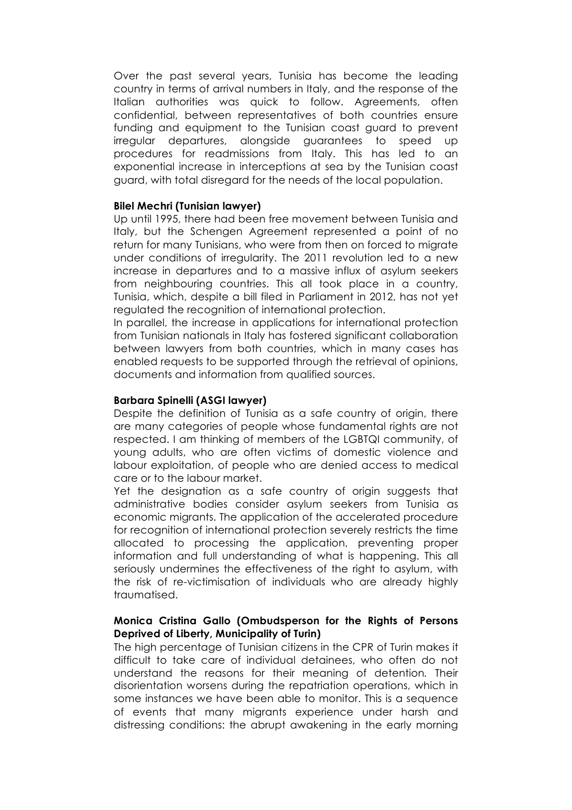Over the past several years, Tunisia has become the leading country in terms of arrival numbers in Italy, and the response of the Italian authorities was quick to follow. Agreements, often confidential, between representatives of both countries ensure funding and equipment to the Tunisian coast guard to prevent irregular departures, alongside guarantees to speed up procedures for readmissions from Italy. This has led to an exponential increase in interceptions at sea by the Tunisian coast guard, with total disregard for the needs of the local population.

# **Bilel Mechri (Tunisian lawyer)**

Up until 1995, there had been free movement between Tunisia and Italy, but the Schengen Agreement represented a point of no return for many Tunisians, who were from then on forced to migrate under conditions of irregularity. The 2011 revolution led to a new increase in departures and to a massive influx of asylum seekers from neighbouring countries. This all took place in a country, Tunisia, which, despite a bill filed in Parliament in 2012, has not yet regulated the recognition of international protection.

In parallel, the increase in applications for international protection from Tunisian nationals in Italy has fostered significant collaboration between lawyers from both countries, which in many cases has enabled requests to be supported through the retrieval of opinions, documents and information from qualified sources.

# **Barbara Spinelli (ASGI lawyer)**

Despite the definition of Tunisia as a safe country of origin, there are many categories of people whose fundamental rights are not respected. I am thinking of members of the LGBTQI community, of young adults, who are often victims of domestic violence and labour exploitation, of people who are denied access to medical care or to the labour market.

Yet the designation as a safe country of origin suggests that administrative bodies consider asylum seekers from Tunisia as economic migrants. The application of the accelerated procedure for recognition of international protection severely restricts the time allocated to processing the application, preventing proper information and full understanding of what is happening. This all seriously undermines the effectiveness of the right to asylum, with the risk of re-victimisation of individuals who are already highly traumatised.

# **Monica Cristina Gallo (Ombudsperson for the Rights of Persons Deprived of Liberty, Municipality of Turin)**

The high percentage of Tunisian citizens in the CPR of Turin makes it difficult to take care of individual detainees, who often do not understand the reasons for their meaning of detention*.* Their disorientation worsens during the repatriation operations, which in some instances we have been able to monitor. This is a sequence of events that many migrants experience under harsh and distressing conditions: the abrupt awakening in the early morning